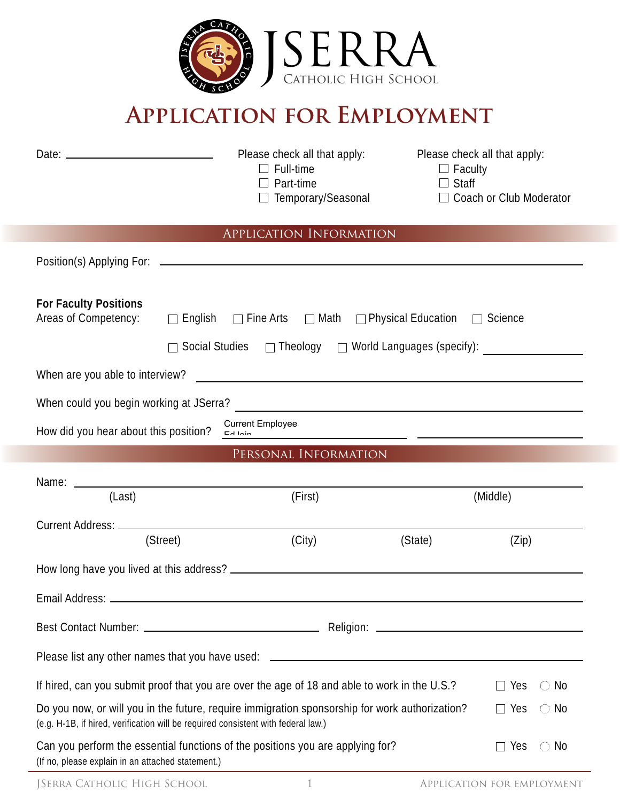# **Application for Employment**

|                                                                                                                                                                                                                                | Please check all that apply:<br>$\Box$ Full-time<br>$\Box$ Part-time<br>$\Box$ Temporary/Seasonal                                                                                                                                                               | Please check all that apply:<br>$\Box$ Faculty<br>$\Box$ Staff<br>□ Coach or Club Moderator |               |
|--------------------------------------------------------------------------------------------------------------------------------------------------------------------------------------------------------------------------------|-----------------------------------------------------------------------------------------------------------------------------------------------------------------------------------------------------------------------------------------------------------------|---------------------------------------------------------------------------------------------|---------------|
|                                                                                                                                                                                                                                | APPLICATION INFORMATION                                                                                                                                                                                                                                         |                                                                                             |               |
| Position(s) Applying For: 1. The contract of the contract of the contract of the contract of the contract of the contract of the contract of the contract of the contract of the contract of the contract of the contract of t |                                                                                                                                                                                                                                                                 |                                                                                             |               |
| <b>For Faculty Positions</b><br>Areas of Competency:                                                                                                                                                                           | □ English □ Fine Arts □ Math □ Physical Education □ Science                                                                                                                                                                                                     |                                                                                             |               |
|                                                                                                                                                                                                                                | □ Social Studies □ Theology □ World Languages (specify): ______________________                                                                                                                                                                                 |                                                                                             |               |
|                                                                                                                                                                                                                                |                                                                                                                                                                                                                                                                 |                                                                                             |               |
| When could you begin working at JSerra?                                                                                                                                                                                        | <u> 1989 - Johann Barn, amerikansk politiker (d. 1989)</u>                                                                                                                                                                                                      |                                                                                             |               |
| How did you hear about this position?                                                                                                                                                                                          | <b>Current Employee</b><br><u>Edition (Construction of the construction of the construction of the construction of the construction of the construction of the construction of the construction of the construction of the construction of the construction</u> |                                                                                             |               |
|                                                                                                                                                                                                                                | PERSONAL INFORMATION                                                                                                                                                                                                                                            |                                                                                             |               |
| Name: Name: Name: Name: Name: Name: Name: Name: Name: Name: Name: Name: Name: Name: Name: Name: Name: Name: Name: Name: Name: Name: Name: Name: Name: Name: Name: Name: Name: Name: Name: Name: Name: Name: Name: Name: Name:  |                                                                                                                                                                                                                                                                 |                                                                                             |               |
| (Last)                                                                                                                                                                                                                         | (First)                                                                                                                                                                                                                                                         | (Middle)                                                                                    |               |
| (Street)                                                                                                                                                                                                                       | (City)                                                                                                                                                                                                                                                          | (State)<br>(Zip)                                                                            |               |
|                                                                                                                                                                                                                                |                                                                                                                                                                                                                                                                 |                                                                                             |               |
|                                                                                                                                                                                                                                |                                                                                                                                                                                                                                                                 |                                                                                             |               |
|                                                                                                                                                                                                                                |                                                                                                                                                                                                                                                                 |                                                                                             |               |
|                                                                                                                                                                                                                                |                                                                                                                                                                                                                                                                 |                                                                                             |               |
| If hired, can you submit proof that you are over the age of 18 and able to work in the U.S.?                                                                                                                                   |                                                                                                                                                                                                                                                                 | $\Box$ Yes                                                                                  | No<br>( )     |
| Do you now, or will you in the future, require immigration sponsorship for work authorization?<br>(e.g. H-1B, if hired, verification will be required consistent with federal law.)                                            |                                                                                                                                                                                                                                                                 | $\Box$ Yes                                                                                  | $\bigcirc$ No |
| Can you perform the essential functions of the positions you are applying for?<br>(If no, please explain in an attached statement.)                                                                                            |                                                                                                                                                                                                                                                                 | $\Box$ Yes                                                                                  | No<br>( )     |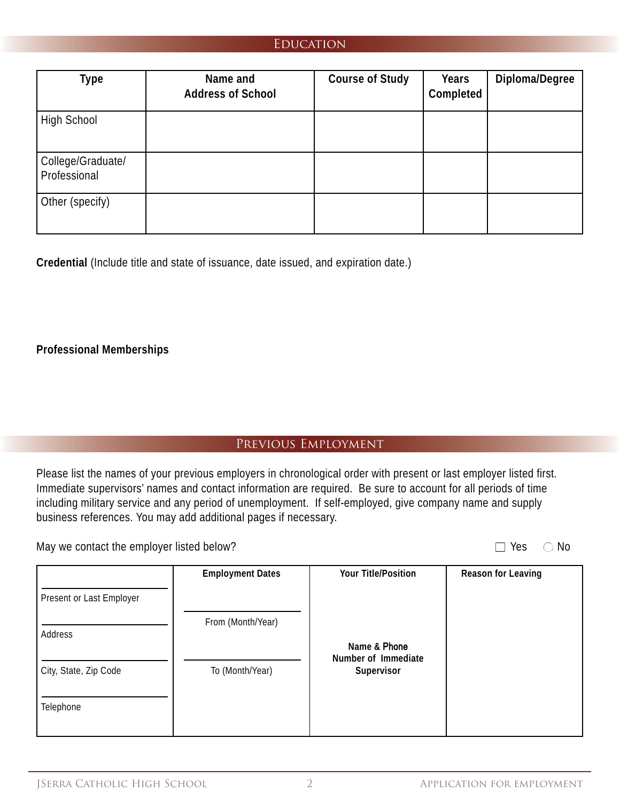#### **EDUCATION**

| Type                              | Name and<br><b>Address of School</b> | <b>Course of Study</b> | Years<br>Completed | Diploma/Degree |
|-----------------------------------|--------------------------------------|------------------------|--------------------|----------------|
| High School                       |                                      |                        |                    |                |
| College/Graduate/<br>Professional |                                      |                        |                    |                |
| Other (specify)                   |                                      |                        |                    |                |

**Credential** (Include title and state of issuance, date issued, and expiration date.)

#### **Professional Memberships**

#### Previous Employment

Please list the names of your previous employers in chronological order with present or last employer listed first. Immediate supervisors' names and contact information are required. Be sure to account for all periods of time including military service and any period of unemployment. If self-employed, give company name and supply business references. You may add additional pages if necessary.

May we contact the employer listed below?  $\Box$  Yes  $\Box$  Yes  $\Box$  No

|                          | <b>Employment Dates</b> | <b>Your Title/Position</b>        | Reason for Leaving |
|--------------------------|-------------------------|-----------------------------------|--------------------|
| Present or Last Employer |                         |                                   |                    |
|                          | From (Month/Year)       |                                   |                    |
| Address                  |                         | Name & Phone                      |                    |
| City, State, Zip Code    | To (Month/Year)         | Number of Immediate<br>Supervisor |                    |
| Telephone                |                         |                                   |                    |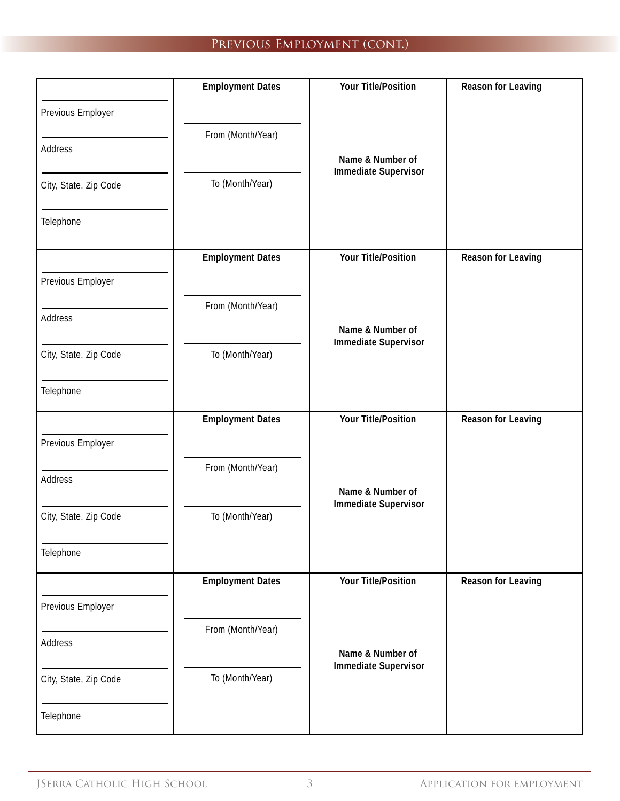## Previous Employment (cont.)

|                       | <b>Employment Dates</b> | <b>Your Title/Position</b>                      | Reason for Leaving |
|-----------------------|-------------------------|-------------------------------------------------|--------------------|
| Previous Employer     |                         |                                                 |                    |
| Address               | From (Month/Year)       |                                                 |                    |
|                       |                         | Name & Number of<br><b>Immediate Supervisor</b> |                    |
| City, State, Zip Code | To (Month/Year)         |                                                 |                    |
| Telephone             |                         |                                                 |                    |
|                       | <b>Employment Dates</b> | Your Title/Position                             | Reason for Leaving |
| Previous Employer     |                         |                                                 |                    |
| Address               | From (Month/Year)       |                                                 |                    |
|                       |                         | Name & Number of<br><b>Immediate Supervisor</b> |                    |
| City, State, Zip Code | To (Month/Year)         |                                                 |                    |
| Telephone             |                         |                                                 |                    |
|                       | <b>Employment Dates</b> | Your Title/Position                             | Reason for Leaving |
| Previous Employer     |                         |                                                 |                    |
| Address               | From (Month/Year)       |                                                 |                    |
|                       |                         | Name & Number of<br><b>Immediate Supervisor</b> |                    |
| City, State, Zip Code | To (Month/Year)         |                                                 |                    |
| Telephone             |                         |                                                 |                    |
|                       | <b>Employment Dates</b> | Your Title/Position                             | Reason for Leaving |
| Previous Employer     |                         |                                                 |                    |
| Address               | From (Month/Year)       |                                                 |                    |
|                       |                         | Name & Number of<br><b>Immediate Supervisor</b> |                    |
| City, State, Zip Code | To (Month/Year)         |                                                 |                    |
| Telephone             |                         |                                                 |                    |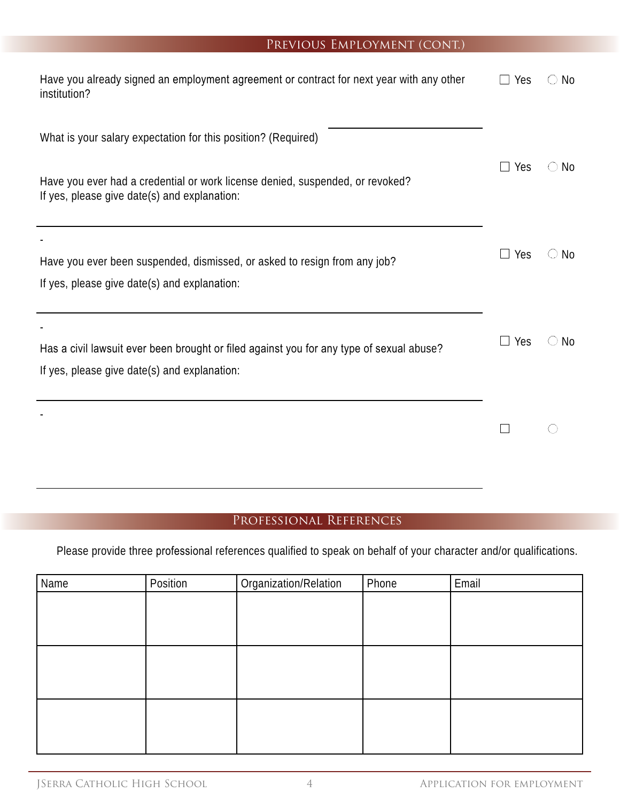### PREVIOUS EMPLOYMENT (CONT.)

| $\Box$ Yes | No            |
|------------|---------------|
|            |               |
| $\Box$ Yes | $\bigcirc$ No |
| $\Box$ Yes | $\bigcirc$ No |
|            |               |
|            | $\bigcirc$ No |
|            |               |
|            |               |
|            |               |
|            | $\Box$ Yes    |

## Professional References

Please provide three professional references qualified to speak on behalf of your character and/or qualifications.

| Name | Position | Organization/Relation | Phone | Email |
|------|----------|-----------------------|-------|-------|
|      |          |                       |       |       |
|      |          |                       |       |       |
|      |          |                       |       |       |
|      |          |                       |       |       |
|      |          |                       |       |       |
|      |          |                       |       |       |
|      |          |                       |       |       |
|      |          |                       |       |       |
|      |          |                       |       |       |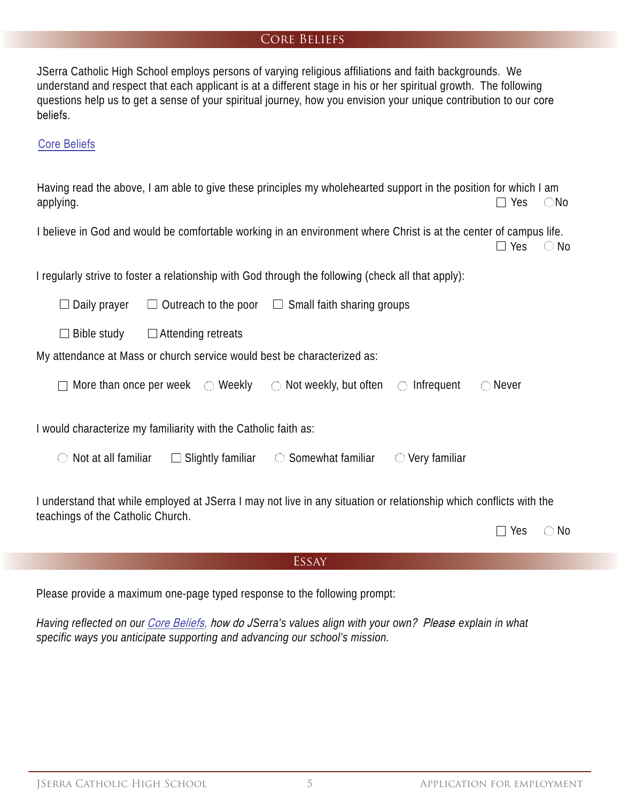#### Core Beliefs

JSerra Catholic High School employs persons of varying religious affiliations and faith backgrounds. We understand and respect that each applicant is at a different stage in his or her spiritual growth. The following questions help us to get a sense of your spiritual journey, how you envision your unique contribution to our core beliefs.

#### [Core Beliefs](https://www.jserra.org/about/core-beliefs)

| Having read the above, I am able to give these principles my wholehearted support in the position for which I am<br>applying. | Yes           | $\bigcirc$ No |
|-------------------------------------------------------------------------------------------------------------------------------|---------------|---------------|
| I believe in God and would be comfortable working in an environment where Christ is at the center of campus life.             | $\square$ Yes | No<br>$( \ )$ |
| I regularly strive to foster a relationship with God through the following (check all that apply):                            |               |               |
| Daily prayer<br>$\Box$ Outreach to the poor $\Box$ Small faith sharing groups<br>$\Box$                                       |               |               |
| Bible study<br>$\Box$ Attending retreats                                                                                      |               |               |
| My attendance at Mass or church service would best be characterized as:                                                       |               |               |
| More than once per week $\bigcirc$ Weekly<br>Not weekly, but often<br>Infrequent<br>$\bigcirc$<br>$\bigcirc$                  | Never         |               |
| I would characterize my familiarity with the Catholic faith as:                                                               |               |               |
| Not at all familiar<br>$\Box$ Slightly familiar<br>Somewhat familiar<br>$\bigcirc$ Very familiar<br>$\bigcirc$                |               |               |
|                                                                                                                               |               |               |

I understand that while employed at JSerra I may not live in any situation or relationship which conflicts with the teachings of the Catholic Church.

 $\Box$  Yes  $\bigcirc$  No

#### Essay

Please provide a maximum one-page typed response to the following prompt:

*Having reflected on our* [Core Beliefs](https://www.jserra.org/about/core-beliefs), how do J*Serra's values align with your own*? Please *explain in what specific ways you anticipate supporting and advancing our school's mission.*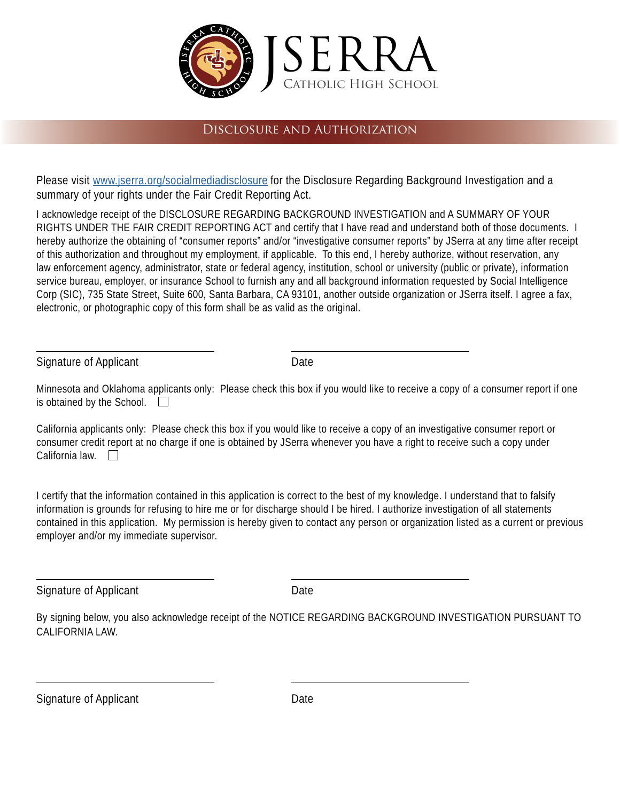

#### Disclosure and Authorization

Please visit www.jserra.org/socialmediadisclosure</u> for the Disclosure Regarding Background Investigation and a summary of your rights under the Fair Credit Reporting Act.

I acknowledge receipt of the DISCLOSURE REGARDING BACKGROUND INVESTIGATION and A SUMMARY OF YOUR RIGHTS UNDER THE FAIR CREDIT REPORTING ACT and certify that I have read and understand both of those documents. I hereby authorize the obtaining of "consumer reports" and/or "investigative consumer reports" by JSerra at any time after receipt of this authorization and throughout my employment, if applicable. To this end, I hereby authorize, without reservation, any law enforcement agency, administrator, state or federal agency, institution, school or university (public or private), information service bureau, employer, or insurance School to furnish any and all background information requested by Social Intelligence Corp (SIC), 735 State Street, Suite 600, Santa Barbara, CA 93101, another outside organization or JSerra itself. I agree a fax, electronic, or photographic copy of this form shall be as valid as the original.

Signature of Applicant Date

Minnesota and Oklahoma applicants only: Please check this box if you would like to receive a copy of a consumer report if one is obtained by the School.  $\square$ 

California applicants only: Please check this box if you would like to receive a copy of an investigative consumer report or consumer credit report at no charge if one is obtained by JSerra whenever you have a right to receive such a copy under California law.  $\Box$ 

I certify that the information contained in this application is correct to the best of my knowledge. I understand that to falsify information is grounds for refusing to hire me or for discharge should I be hired. I authorize investigation of all statements contained in this application. My permission is hereby given to contact any person or organization listed as a current or previous employer and/or my immediate supervisor.

Signature of Applicant Date Date

By signing below, you also acknowledge receipt of the NOTICE REGARDING BACKGROUND INVESTIGATION PURSUANT TO CALIFORNIA LAW.

Signature of Applicant Date Date